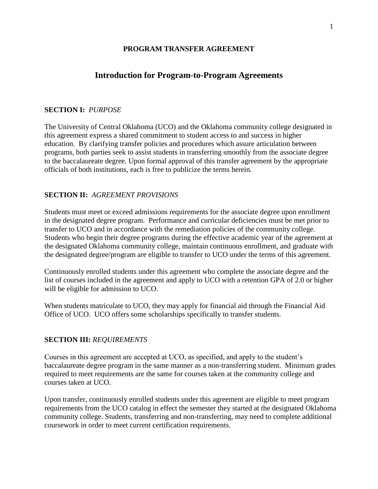## **PROGRAM TRANSFER AGREEMENT**

## **Introduction for Program-to-Program Agreements**

#### **SECTION I:** *PURPOSE*

The University of Central Oklahoma (UCO) and the Oklahoma community college designated in this agreement express a shared commitment to student access to and success in higher education. By clarifying transfer policies and procedures which assure articulation between programs, both parties seek to assist students in transferring smoothly from the associate degree to the baccalaureate degree. Upon formal approval of this transfer agreement by the appropriate officials of both institutions, each is free to publicize the terms herein.

### **SECTION II:** *AGREEMENT PROVISIONS*

Students must meet or exceed admissions requirements for the associate degree upon enrollment in the designated degree program. Performance and curricular deficiencies must be met prior to transfer to UCO and in accordance with the remediation policies of the community college. Students who begin their degree programs during the effective academic year of the agreement at the designated Oklahoma community college, maintain continuous enrollment, and graduate with the designated degree/program are eligible to transfer to UCO under the terms of this agreement.

Continuously enrolled students under this agreement who complete the associate degree and the list of courses included in the agreement and apply to UCO with a retention GPA of 2.0 or higher will be eligible for admission to UCO.

When students matriculate to UCO, they may apply for financial aid through the Financial Aid Office of UCO. UCO offers some scholarships specifically to transfer students.

## **SECTION III:** *REQUIREMENTS*

Courses in this agreement are accepted at UCO, as specified, and apply to the student's baccalaureate degree program in the same manner as a non-transferring student. Minimum grades required to meet requirements are the same for courses taken at the community college and courses taken at UCO.

Upon transfer, continuously enrolled students under this agreement are eligible to meet program requirements from the UCO catalog in effect the semester they started at the designated Oklahoma community college. Students, transferring and non-transferring, may need to complete additional coursework in order to meet current certification requirements.